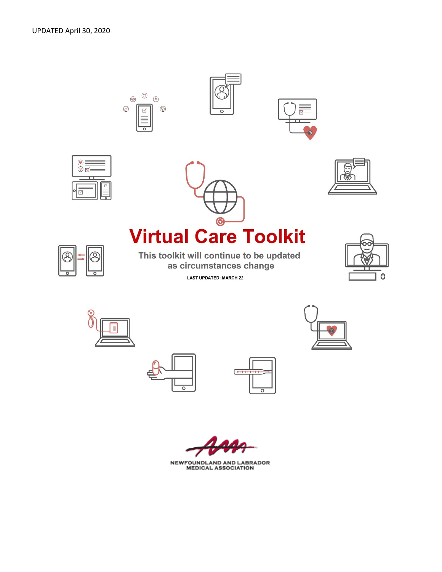☑













**NEWFOUNDLAND AND LABRADOR<br>MEDICAL ASSOCIATION**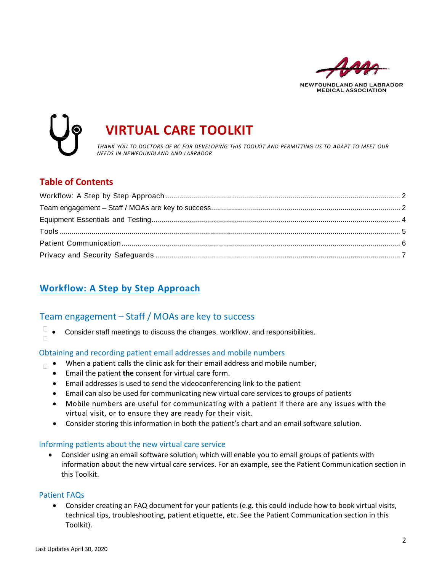

**MEDICAL ASSOCIATION** 



# *THANK YOU TO DOCTORS OF BC FOR DEVELOPING THIS TOOLKIT AND PERMITTING US TO ADAPT TO MEET OUR*

### **Table of Contents**

# <span id="page-1-0"></span>**Workflow: A Step by Step Approach**

# <span id="page-1-1"></span>Team engagement – Staff / MOAs are key to success

 $\Box$ • Consider staff meetings to discuss the changes, workflow, and responsibilities.  $\Box$ 

### Obtaining and recording patient email addresses and mobile numbers

- $\blacksquare$  When a patient calls the clinic ask for their email address and mobile number,
	- Email the patient **the** consent for virtual care form.
	- Email addresses is used to send the videoconferencing link to the patient
	- Email can also be used for communicating new virtual care services to groups of patients
	- Mobile numbers are useful for communicating with a patient if there are any issues with the virtual visit, or to ensure they are ready for their visit.
	- Consider storing this information in both the patient's chart and an email software solution.

### Informing patients about the new virtual care service

• Consider using an email software solution, which will enable you to email groups of patients with information about the new virtual care services. For an example, see the Patient Communication section in this Toolkit.

### Patient FAQs

• Consider creating an FAQ document for your patients (e.g. this could include how to book virtual visits, technical tips, troubleshooting, patient etiquette, etc. See the Patient Communication section in this Toolkit).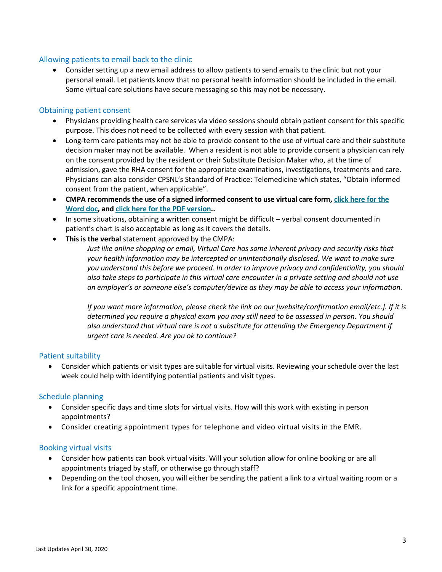### Allowing patients to email back to the clinic

• Consider setting up a new email address to allow patients to send emails to the clinic but not your personal email. Let patients know that no personal health information should be included in the email. Some virtual care solutions have secure messaging so this may not be necessary.

#### Obtaining patient consent

- Physicians providing health care services via video sessions should obtain patient consent for this specific purpose. This does not need to be collected with every session with that patient.
- Long-term care patients may not be able to provide consent to the use of virtual care and their substitute decision maker may not be available. When a resident is not able to provide consent a physician can rely on the consent provided by the resident or their Substitute Decision Maker who, at the time of admission, gave the RHA consent for the appropriate examinations, investigations, treatments and care. Physicians can also consider CPSNL's Standard of Practice: Telemedicine which states, "Obtain informed consent from the patient, when applicable".
- **CMPA recommends the use of a signed informed consent to use virtual care form, click here [for the](https://www.cmpa-acpm.ca/static-assets/pdf/advice-and-publications/risk-management-toolbox/com_16_consent_to_use_electronic_communication_form-e.doc) [Word](https://www.cmpa-acpm.ca/static-assets/pdf/advice-and-publications/risk-management-toolbox/com_16_consent_to_use_electronic_communication_form-e.doc) doc, and click here for the PDF [version..](https://www.cmpa-acpm.ca/static-assets/pdf/advice-and-publications/risk-management-toolbox/com_16_consent_to_use_electronic_communication_form-e.pdf)**
- In some situations, obtaining a written consent might be difficult verbal consent documented in patient's chart is also acceptable as long as it covers the details.
- **This is the verbal** statement approved by the CMPA:

*Just like online shopping or email, Virtual Care has some inherent privacy and security risks that your health information may be intercepted or unintentionally disclosed. We want to make sure you understand this before we proceed. In order to improve privacy and confidentiality, you should also take steps to participate in this virtual care encounter in a private setting and should not use an employer's or someone else's computer/device as they may be able to access your information.*

*If you want more information, please check the link on our [website/confirmation email/etc.]. If it is determined you require a physical exam you may still need to be assessed in person. You should also understand that virtual care is not a substitute for attending the Emergency Department if urgent care is needed. Are you ok to continue?*

### Patient suitability

• Consider which patients or visit types are suitable for virtual visits. Reviewing your schedule over the last week could help with identifying potential patients and visit types.

### Schedule planning

- Consider specific days and time slots for virtual visits. How will this work with existing in person appointments?
- Consider creating appointment types for telephone and video virtual visits in the EMR.

#### Booking virtual visits

- Consider how patients can book virtual visits. Will your solution allow for online booking or are all appointments triaged by staff, or otherwise go through staff?
- Depending on the tool chosen, you will either be sending the patient a link to a virtual waiting room or a link for a specific appointment time.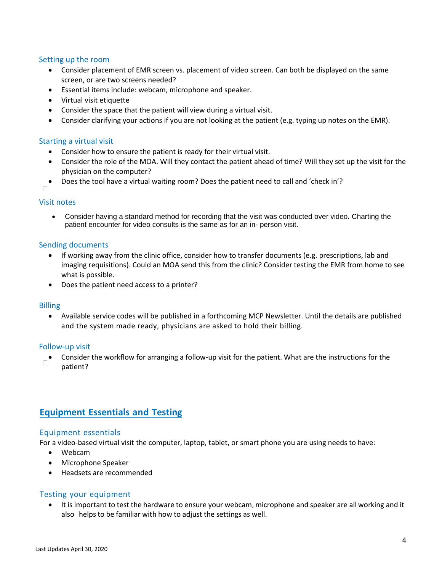### Setting up the room

- Consider placement of EMR screen vs. placement of video screen. Can both be displayed on the same screen, or are two screens needed?
- Essential items include: webcam, microphone and speaker.
- Virtual visit etiquette
- Consider the space that the patient will view during a virtual visit.
- Consider clarifying your actions if you are not looking at the patient (e.g. typing up notes on the EMR).

### Starting a virtual visit

- Consider how to ensure the patient is ready for their virtual visit.
- Consider the role of the MOA. Will they contact the patient ahead of time? Will they set up the visit for the physician on the computer?
- Does the tool have a virtual waiting room? Does the patient need to call and 'check in'?

#### Visit notes

• Consider having a standard method for recording that the visit was conducted over video. Charting the patient encounter for video consults is the same as for an in- person visit.

#### Sending documents

- If working away from the clinic office, consider how to transfer documents (e.g. prescriptions, lab and imaging requisitions). Could an MOA send this from the clinic? Consider testing the EMR from home to see what is possible.
- Does the patient need access to a printer?

### Billing

• Available service codes will be published in a forthcoming MCP Newsletter. Until the details are published and the system made ready, physicians are asked to hold their billing.

#### Follow-up visit

• Consider the workflow for arranging a follow-up visit for the patient. What are the instructions for the patient?

### <span id="page-3-0"></span>**Equipment Essentials and Testing**

### Equipment essentials

For a video-based virtual visit the computer, laptop, tablet, or smart phone you are using needs to have:

- Webcam
- Microphone Speaker
- Headsets are recommended

### Testing your equipment

• It is important to test the hardware to ensure your webcam, microphone and speaker are all working and it also helps to be familiar with how to adjust the settings as well.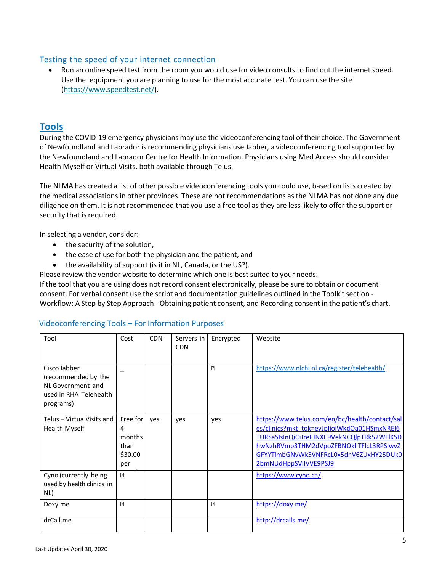### Testing the speed of your internet connection

• Run an online speed test from the room you would use for video consults to find out the internet speed. Use the equipment you are planning to use for the most accurate test. You can use the site [\(https://www.speedtest.net/\)](https://www.speedtest.net/).

### <span id="page-4-0"></span>**Tools**

During the COVID-19 emergency physicians may use the videoconferencing tool of their choice. The Government of Newfoundland and Labrador is recommending physicians use Jabber, a videoconferencing tool supported by the Newfoundland and Labrador Centre for Health Information. Physicians using Med Access should consider Health Myself or Virtual Visits, both available through Telus.

The NLMA has created a list of other possible videoconferencing tools you could use, based on lists created by the medical associations in other provinces. These are not recommendations as the NLMA has not done any due diligence on them. It is not recommended that you use a free tool as they are less likely to offer the support or security that is required.

In selecting a vendor, consider:

- the security of the solution,
- the ease of use for both the physician and the patient, and
- the availability of support (is it in NL, Canada, or the US?).

Please review the vendor website to determine which one is best suited to your needs.

If the tool that you are using does not record consent electronically, please be sure to obtain or document consent. For verbal consent use the script and documentation guidelines outlined in the Toolkit section - Workflow: A Step by Step Approach - Obtaining patient consent, and Recording consent in the patient's chart.

| Tool                      | Cost           | <b>CDN</b> | Servers in | Encrypted | Website                                        |
|---------------------------|----------------|------------|------------|-----------|------------------------------------------------|
|                           |                |            | <b>CDN</b> |           |                                                |
|                           |                |            |            |           |                                                |
| Cisco Jabber              |                |            |            | 卪         | https://www.nlchi.nl.ca/register/telehealth/   |
| (recommended by the       |                |            |            |           |                                                |
| NL Government and         |                |            |            |           |                                                |
| used in RHA Telehealth    |                |            |            |           |                                                |
| programs)                 |                |            |            |           |                                                |
|                           |                |            |            |           |                                                |
| Telus - Virtua Visits and | Free for       | yes        | yes        | yes       | https://www.telus.com/en/bc/health/contact/sal |
| <b>Health Myself</b>      | 4              |            |            |           | es/clinics?mkt_tok=eyJpIjoiWkdOa01HSmxNREI6    |
|                           | months         |            |            |           | TURSaSIsInQiOiIreFJNXC9VekNCQlpTRk52WFlKSD     |
|                           | than           |            |            |           | hwNzhRVmp3THM2dVpoZFBNQklITFlcL3RPSIwvZ        |
|                           | \$30.00        |            |            |           | GFYYTImbGNvWk5VNFRcL0x5dnV6ZUxHY25DUk0         |
|                           | per            |            |            |           | 2bmNUdHppSVIIVVE9PSJ9                          |
| Cyno (currently being     | $\overline{2}$ |            |            |           | https://www.cyno.ca/                           |
| used by health clinics in |                |            |            |           |                                                |
| NL)                       |                |            |            |           |                                                |
| Doxy.me                   | 卪              |            |            | 卪         | https://doxy.me/                               |
|                           |                |            |            |           |                                                |
| drCall.me                 |                |            |            |           | http://drcalls.me/                             |
|                           |                |            |            |           |                                                |

### Videoconferencing Tools – For Information Purposes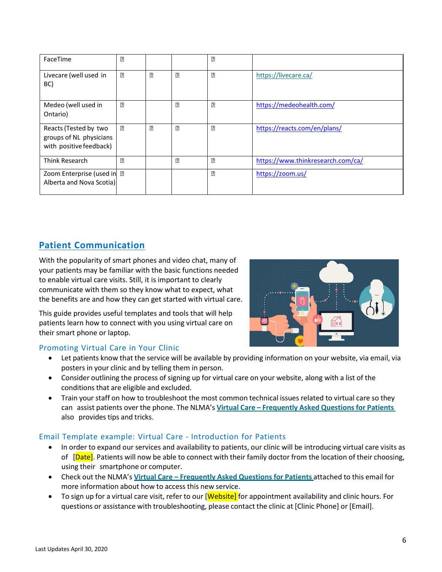| FaceTime                                                                    | 2   |   |   | 2   |                                   |
|-----------------------------------------------------------------------------|-----|---|---|-----|-----------------------------------|
| Livecare (well used in<br>BC)                                               | [?] | 卪 | 卪 | [?] | https://livecare.ca/              |
| Medeo (well used in<br>Ontario)                                             | 卪   |   | 卪 | 卪   | https://medeohealth.com/          |
| Reacts (Tested by two<br>groups of NL physicians<br>with positive feedback) | 卪   | 卪 | 卪 | 2   | https://reacts.com/en/plans/      |
| Think Research                                                              | 卪   |   | 卪 | 卪   | https://www.thinkresearch.com/ca/ |
| Zoom Enterprise (used in 2<br>Alberta and Nova Scotia)                      |     |   |   | 2   | https://zoom.us/                  |

# <span id="page-5-0"></span>**Patient Communication**

With the popularity of smart phones and video chat, many of your patients may be familiar with the basic functions needed to enable virtual care visits. Still, it is important to clearly communicate with them so they know what to expect, what the benefits are and how they can get started with virtual care.

This guide provides useful templates and tools that will help patients learn how to connect with you using virtual care on their smart phone or laptop.



### Promoting Virtual Care in Your Clinic

- Let patients know that the service will be available by providing information on your website, via email, via posters in your clinic and by telling them in person.
- Consider outlining the process of signing up for virtual care on your website, along with a list of the conditions that are eligible and excluded.
- Train your staff on how to troubleshoot the most common technical issues related to virtual care so they can assist patients over the phone. The NLMA's **Virtual Care – Frequently Asked [Questionsfor](http://www.nlma.nl.ca/FileManager/Virtual-Care-/docs/2020.03.22_NLMA_Virtual_Care_-_FAQs_for_Patients.pdf) Patients** also provides tips and tricks.

### Email Template example: Virtual Care - Introduction for Patients

- In order to expand our services and availability to patients, our clinic will be introducing virtual care visits as of [Date]. Patients will now be able to connect with their family doctor from the location of their choosing, using their smartphone or computer.
- Check out the NLMA's **Virtual Care – Frequently Asked [Questionsfor](http://www.nlma.nl.ca/FileManager/Virtual-Care-/docs/2020.03.22_NLMA_Virtual_Care_-_FAQs_for_Patients.pdf) Patients** attached to this email for more information about how to access this new service.
- To sign up for a virtual care visit, refer to our [Website] for appointment availability and clinic hours. For questions or assistance with troubleshooting, please contact the clinic at [Clinic Phone] or [Email].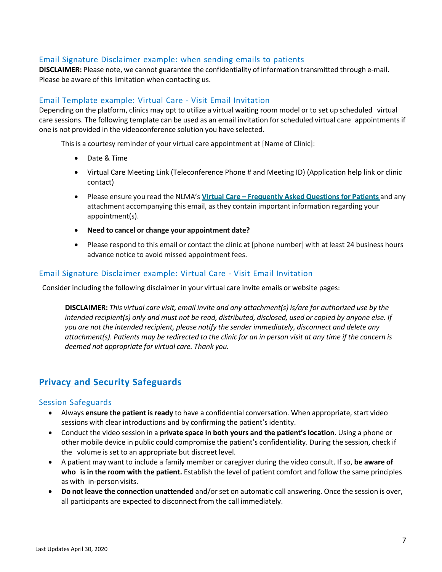### Email Signature Disclaimer example: when sending emails to patients

**DISCLAIMER:** Please note, we cannot guarantee the confidentiality of information transmitted through e-mail. Please be aware of this limitation when contacting us.

### Email Template example: Virtual Care - Visit Email Invitation

Depending on the platform, clinics may opt to utilize a virtual waiting room model or to set up scheduled virtual care sessions. The following template can be used as an email invitation forscheduled virtual care appointments if one is not provided in the videoconference solution you have selected.

This is a courtesy reminder of your virtual care appointment at [Name of Clinic]:

- Date & Time
- Virtual Care Meeting Link (Teleconference Phone # and Meeting ID) (Application help link or clinic contact)
- Please ensure you read the NLMA's **Virtual Care – Frequently Asked [Questionsfor](http://www.nlma.nl.ca/FileManager/Virtual-Care-/docs/2020.03.22_NLMA_Virtual_Care_-_FAQs_for_Patients.pdf) Patients** and any attachment accompanying this email, asthey contain important information regarding your appointment(s).
- **Need to cancel or change your appointment date?**
- Please respond to this email or contact the clinic at [phone number] with at least 24 business hours advance notice to avoid missed appointment fees.

### Email Signature Disclaimer example: Virtual Care - Visit Email Invitation

Consider including the following disclaimer in your virtual care invite emails or website pages:

**DISCLAIMER:** *This virtual care visit, email invite and any attachment(s) is/are for authorized use by the* intended recipient(s) only and must not be read, distributed, disclosed, used or copied by anyone else. If *you are not the intended recipient, please notify the sender immediately, disconnect and delete any* attachment(s). Patients may be redirected to the clinic for an in person visit at any time if the concern is *deemed not appropriate for virtual care. Thank you.*

## <span id="page-6-0"></span>**Privacy and Security Safeguards**

### Session Safeguards

- Always **ensure the patient isready** to have a confidential conversation. When appropriate, start video sessions with clear introductions and by confirming the patient's identity.
- Conduct the video session in a **private space in both yours and the patient's location**. Using a phone or other mobile device in public could compromise the patient's confidentiality. During the session, check if the volume is set to an appropriate but discreet level.
- A patient may want to include a family member or caregiver during the video consult. If so, **be aware of who isin the room with the patient.** Establish the level of patient comfort and follow the same principles as with in-person visits.
- **Do not leave the connection unattended** and/orset on automatic call answering. Once the session is over, all participants are expected to disconnect from the call immediately.